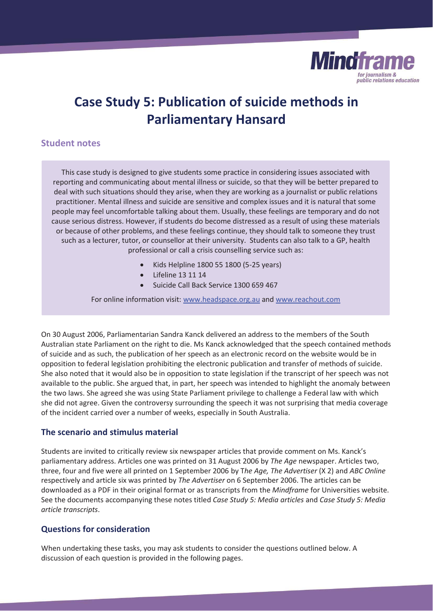

## **Case Study 5: Publication of suicide methods in Parliamentary Hansard**

## **Student notes**

This case study is designed to give students some practice in considering issues associated with reporting and communicating about mental illness or suicide, so that they will be better prepared to deal with such situations should they arise, when they are working as a journalist or public relations practitioner. Mental illness and suicide are sensitive and complex issues and it is natural that some people may feel uncomfortable talking about them. Usually, these feelings are temporary and do not cause serious distress. However, if students do become distressed as a result of using these materials or because of other problems, and these feelings continue, they should talk to someone they trust such as a lecturer, tutor, or counsellor at their university. Students can also talk to a GP, health professional or call a crisis counselling service such as:

- Kids Helpline 1800 55 1800 (5-25 years)
- Lifeline 13 11 14
- Suicide Call Back Service 1300 659 467

For online information visit: www.headspace.org.au and www.reachout.com

On 30 August 2006, Parliamentarian Sandra Kanck delivered an address to the members of the South Australian state Parliament on the right to die. Ms Kanck acknowledged that the speech contained methods of suicide and as such, the publication of her speech as an electronic record on the website would be in opposition to federal legislation prohibiting the electronic publication and transfer of methods of suicide. She also noted that it would also be in opposition to state legislation if the transcript of her speech was not available to the public. She argued that, in part, her speech was intended to highlight the anomaly between the two laws. She agreed she was using State Parliament privilege to challenge a Federal law with which she did not agree. Given the controversy surrounding the speech it was not surprising that media coverage of the incident carried over a number of weeks, especially in South Australia.

## **The scenario and stimulus material**

Students are invited to critically review six newspaper articles that provide comment on Ms. Kanck's parliamentary address. Articles one was printed on 31 August 2006 by *The Age* newspaper. Articles two, three, four and five were all printed on 1 September 2006 by T*he Age, The Advertiser* (X 2) and *ABC Online*  respectively and article six was printed by *The Advertiser* on 6 September 2006. The articles can be downloaded as a PDF in their original format or as transcripts from the *Mindframe* for Universities website. See the documents accompanying these notes titled *Case Study 5: Media articles* and *Case Study 5: Media article transcripts*.

## **Questions for consideration**

When undertaking these tasks, you may ask students to consider the questions outlined below. A discussion of each question is provided in the following pages.